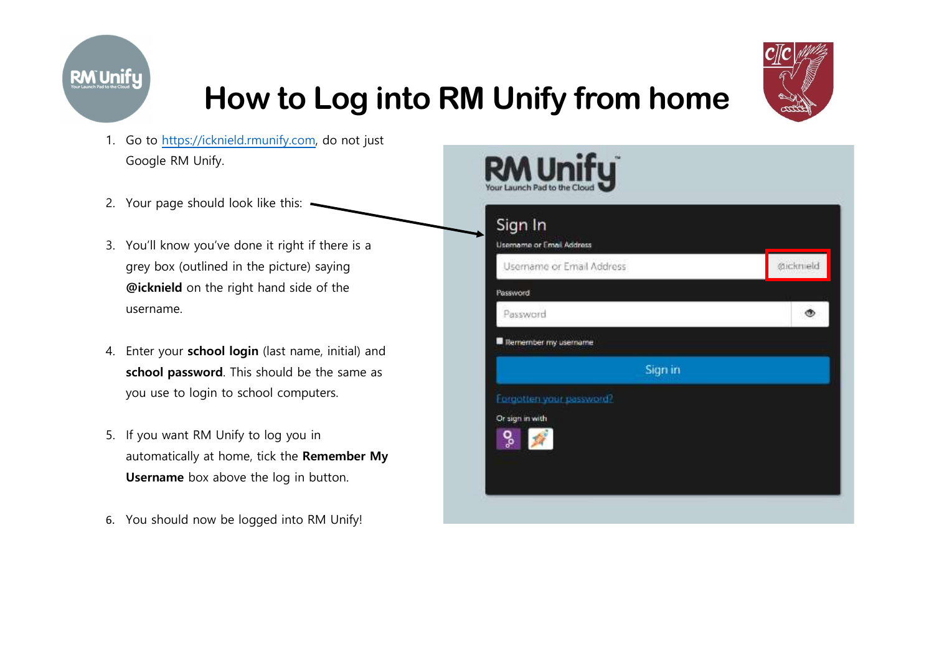

# How to Log into RM Unify from home



- 1. Go to https://icknield.rmunify.com, do not just Google RM Unify.
- 2. Your page should look like this:  $\cdot$
- 3. You'll know you've done it right if there is a grey box (outlined in the picture) saying @icknield on the right hand side of the username.
- 4. Enter your school login (last name, initial) and school password. This should be the same as you use to login to school computers.
- 5. If you want RM Unify to log you in automatically at home, tick the Remember My Username box above the log in button.
- 6. You should now be logged into RM Unify!

| Sign In                                                      |          |
|--------------------------------------------------------------|----------|
| <b>Usemame or Email Address</b><br>Username or Email Address | Øickneld |
| Password.                                                    |          |
| Password                                                     |          |
| <b>B</b> Remember my username                                |          |
| Sign in                                                      |          |
| Forgotten your password?                                     |          |
| Or sign in with<br>o<br>S                                    |          |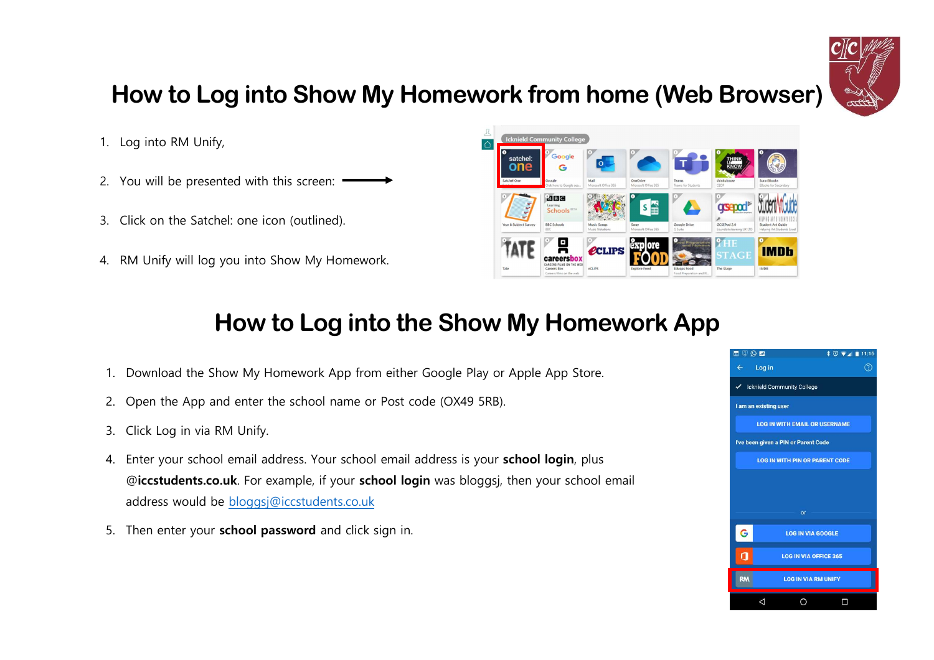

## How to Log into Show My Homework from home (Web Browser)

- 1. Log into RM Unify,
- 2. You will be presented with this screen:
- 3. Click on the Satchel: one icon (outlined).
- 4. RM Unify will log you into Show My Homework.



## How to Log into the Show My Homework App

- 1. Download the Show My Homework App from either Google Play or Apple App Store.
- 2. Open the App and enter the school name or Post code (OX49 5RB).
- 3. Click Log in via RM Unify.
- 4. Enter your school email address. Your school email address is your school login, plus @iccstudents.co.uk. For example, if your school login was bloggsj, then your school email address would be bloggsj@iccstudents.co.uk
- 5. Then enter your school password and click sign in.

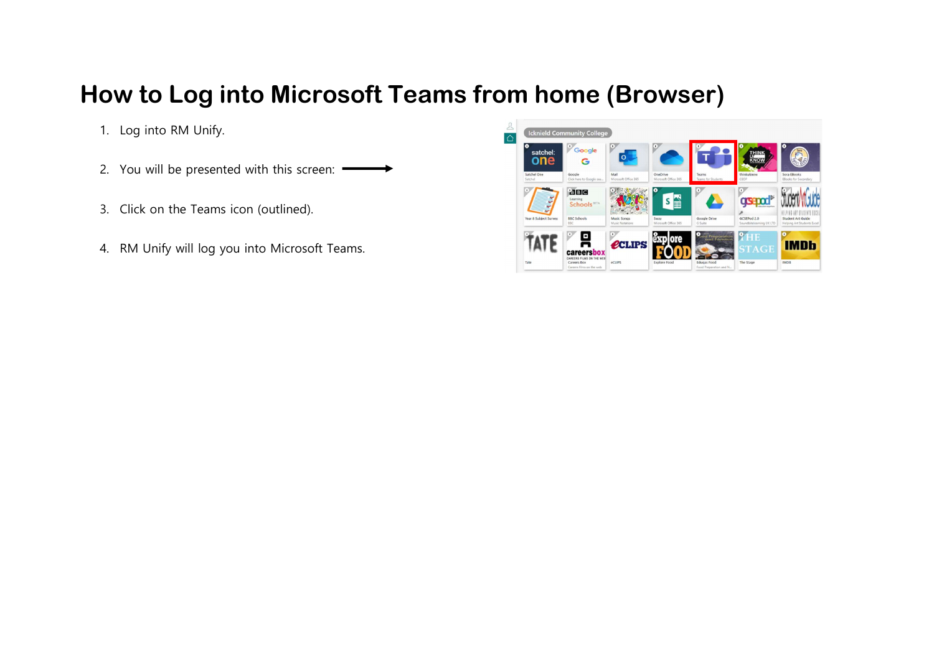#### How to Log into Microsoft Teams from home (Browser)

- 1. Log into RM Unify.
- 2. You will be presented with this screen:
- 3. Click on the Teams icon (outlined).
- 4. RM Unify will log you into Microsoft Teams.